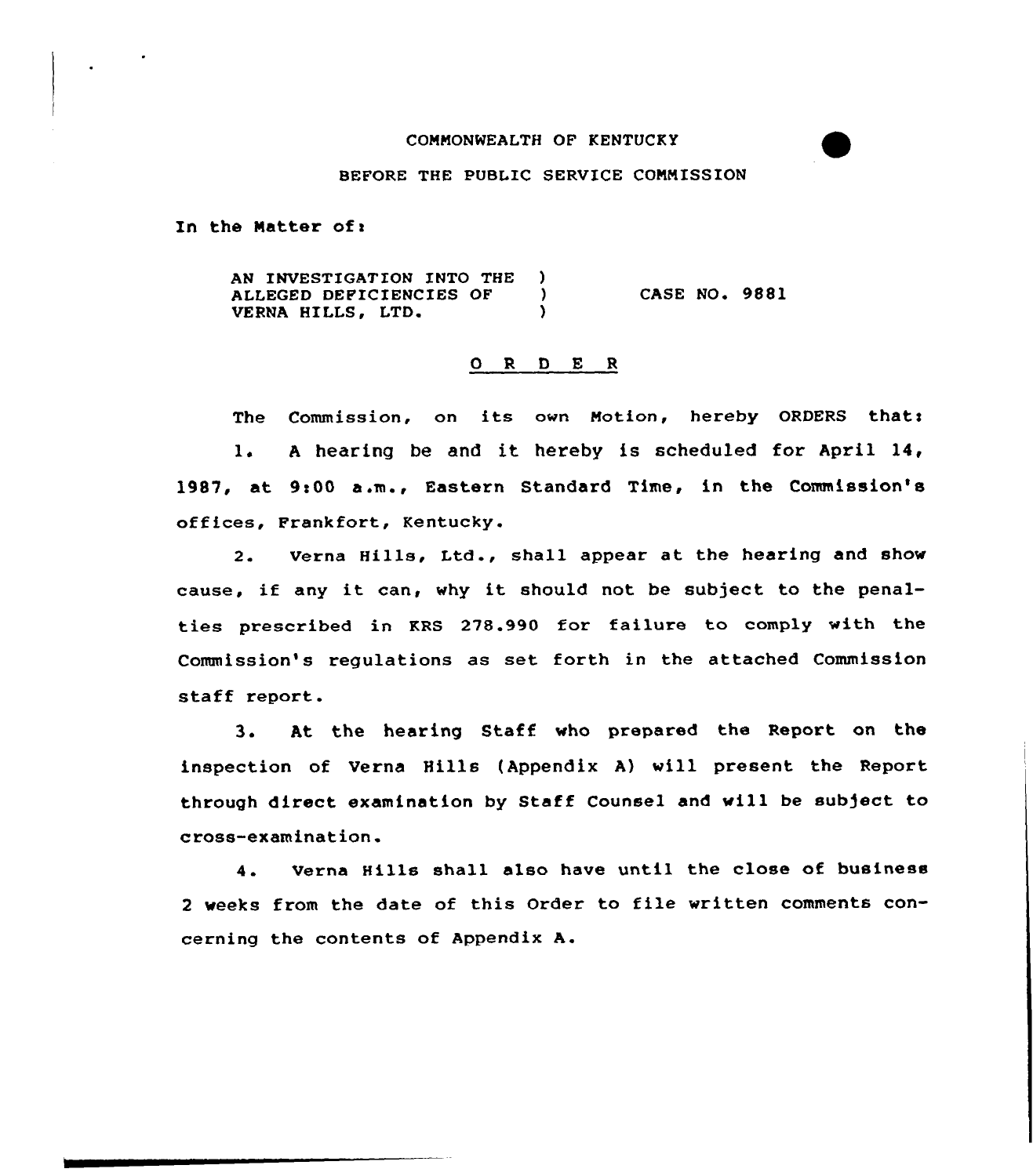# COMMONWEALTH OF KENTUCKY

## BEFORE THE PUBLIC SERVICE COMMISSION

In the Matter of:

AN INVESTIGATION INTO THE ) ALLEGED DEFICIENCIES OF (1) VERNA HILLS, LTD. CASE NO. 9881

#### 0 R <sup>D</sup> E <sup>R</sup>

The Commission, on its own Motion, hereby ORDERS thats 1. <sup>A</sup> hearing be and it hereby is scheduled for April 14, 1987, at 9:00 a.m., Eastern Standard Time, in the Commission's offices, Frankfort, Kentucky.

2. Verna Hills, Ltd., shall appear at the hearing and show cause, if any it can, why it should not be subject to the penalties prescribed in KRS 278.990 for failure to comply with the Commission's regulations as set forth in the attached Commission staff report.

3. At the hearing Staff vho prepared the Report on the inspection of Verna Hills (Appendix A) vill present the Report through direct examination by Staff Counsel and vill be subject to cross-examination.

4. Verna Hills shall also have until the close of business <sup>2</sup> veeks from the date of this Order to file written comments concerning the contents of Appendix A.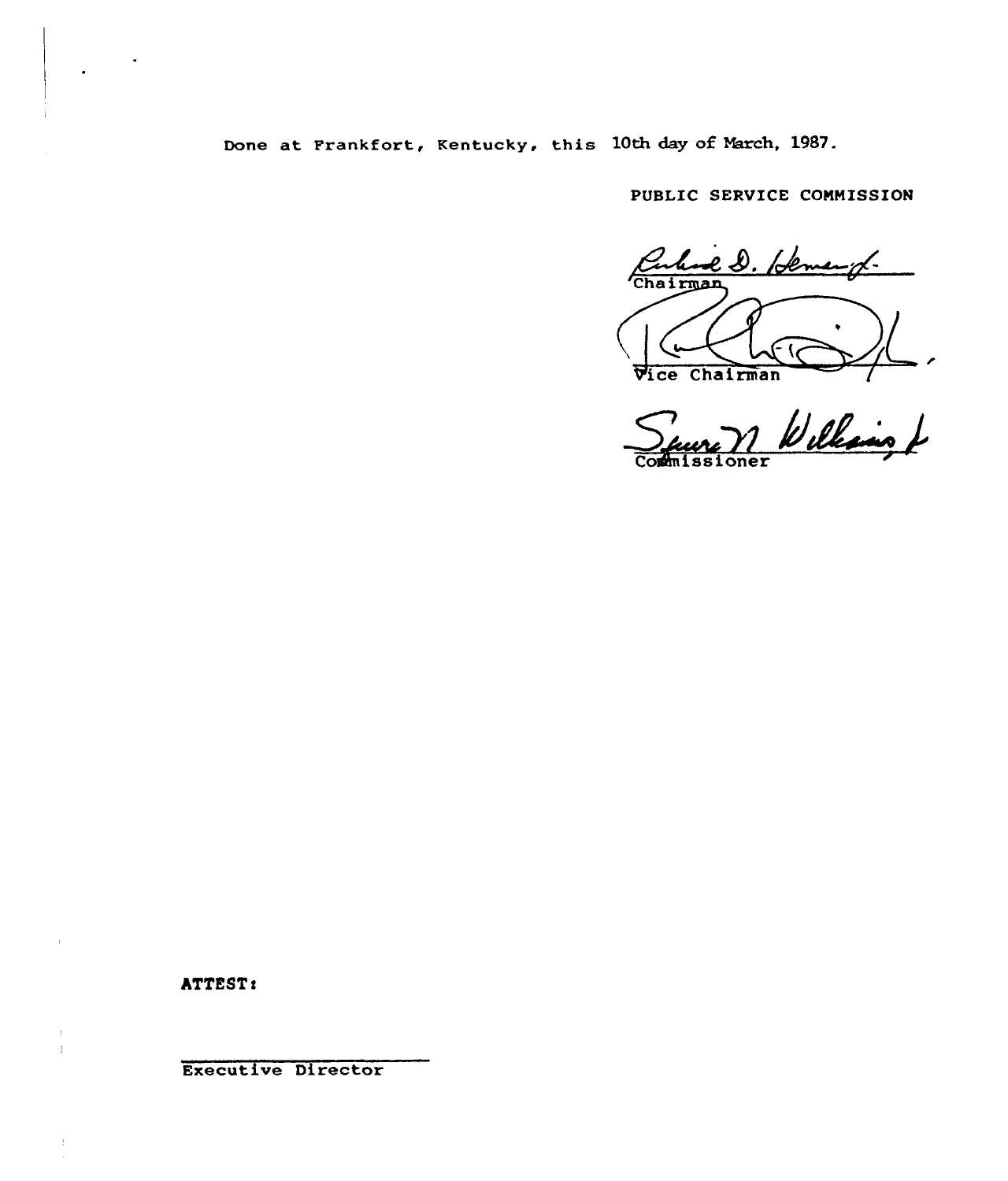Done at Frankfort, Kentucky, this 10th day of March, 1987.

PUBLIC SERVICE COMMISSION

el. Hemangt. Chairman 6 Vice Chairman

 $\sum_{\lambda}$ Commissione

**ATTEST:** 

 $\frac{1}{4}$ 

 $\frac{1}{\epsilon}$ 

Executive Director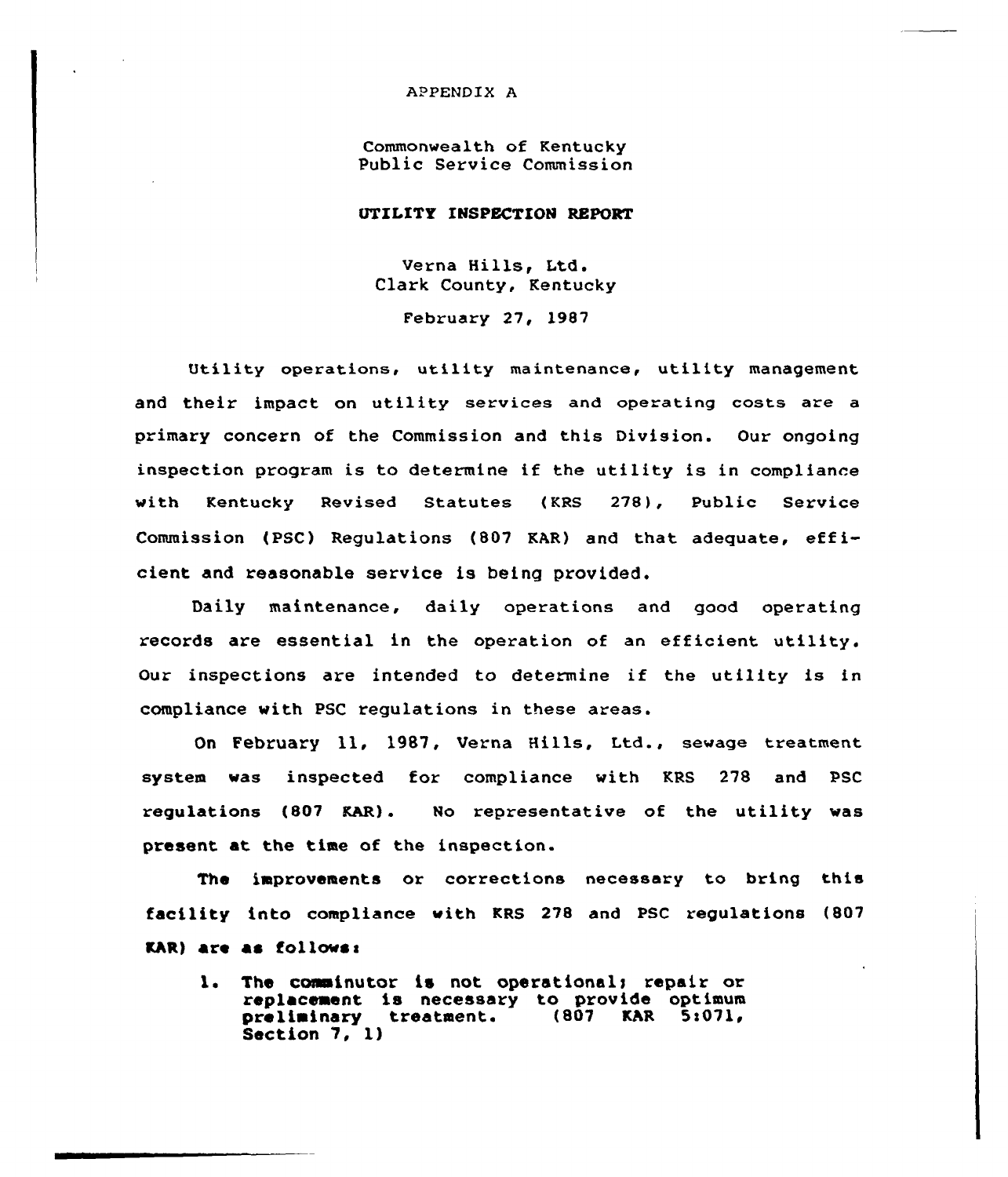## APPENDIX A

Commonwealth of Kentucky Public Service Commission

# UTILITY INSPECTION REPORT

Verna Hills, Ltd. Clark County, Kentucky

February 27, 1987

Utility operations, utility maintenance, utility management and their impact on utility services and operating costs are a primary concern of the Commission and this Division. Our ongoing inspection program is to determine if the utility is in compliance with Kentucky Revised Statutes {KRS 278), Public Service Commission (PSC) Regulations (807 KAR) and that adequate, efficient and reasonable service is being provided.

Daily maintenance, daily operations and good operating records are essential in the operation of an efficient utility. Our inspections are intended to determine if the utility is in compliance with PSC regulations in these areas.

On February ll, 1987, Verna Hills, Ltd., sewage treatment system was inspected for compliance with KRS 278 and PSC regulations (807 KAR). No representative of the utility was present at the time of the inspection.

The improvements or corrections necessary to bring this facility into compliance with KRS 278 and PSC regulations (807 KAR) are as follows:

1. The comminutor is not operational; repair or replacement is necessary to provide optimum<br>preliminary treatment. (807 KAR 5:071, preliminary treatment. Section 7, 1)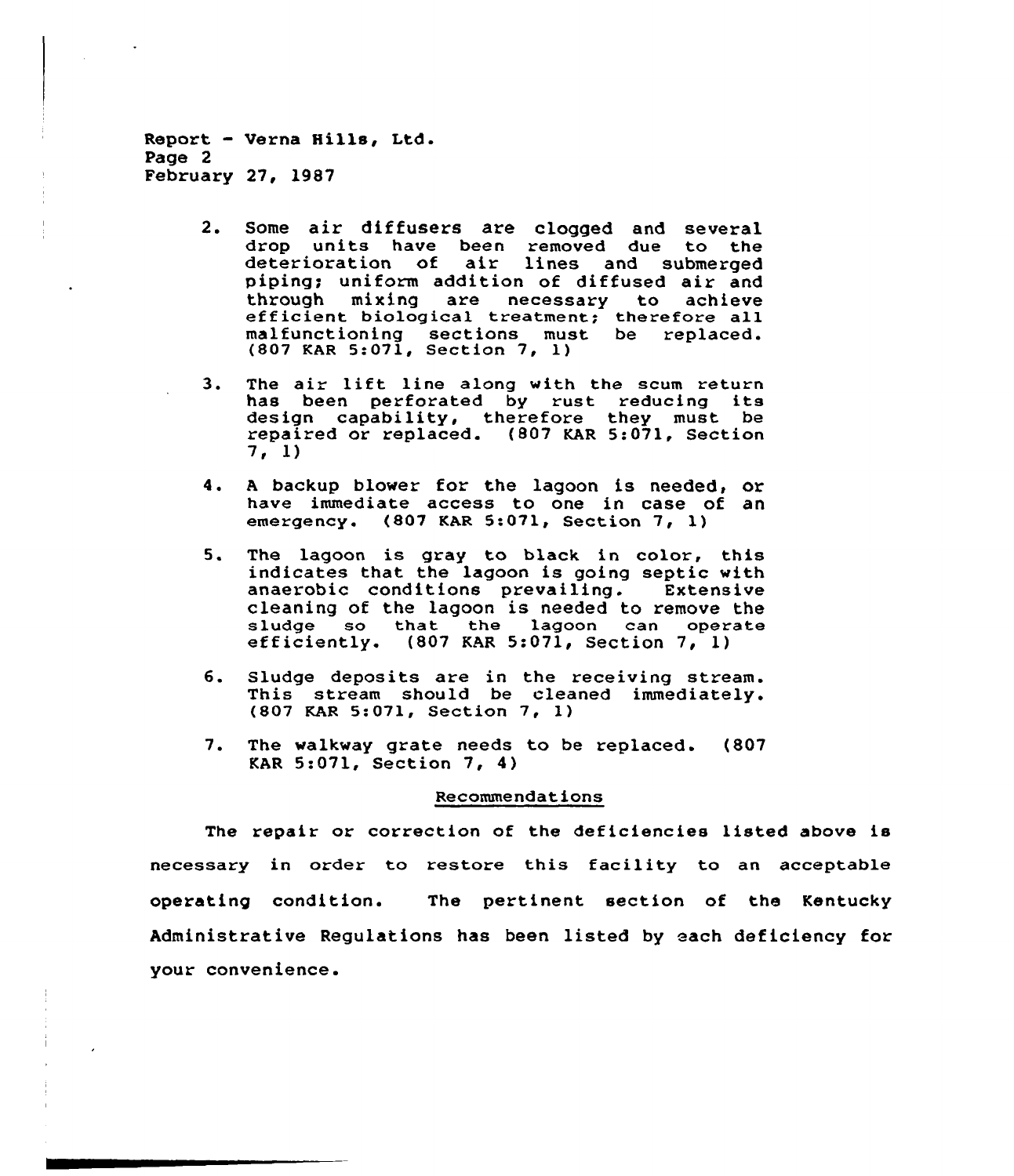Report - Verna Hills, Ltd. Page 2 February 27, 1987

- 2. Some air diffusers are clogged and several<br>drop units have been removed due to the deterioration of air lines and submerged piping; uniform addition of diffused air and<br>through mixing are necessary to achieve efficient biological treatment; therefore all malfunctioning sections must be replaced. {807 KAR 5:071, Section 7, 1)
- 3. The air lift line along with the scum return has been perforated by rust reducing its design capability, therefore they must be repaired or replaced. {807 KAR 5:071, Section 7, 1)
- 4. <sup>A</sup> backup blower for the lagoon is needed, or have immediate access to one in case of an emergency. (807 KAR 5:071, Section 7, 1)
- 5. The lagoon is gray to black in color, this indicates that the lagoon is going septic with<br>anaerobic conditions prevailing. Extensive anaerobic conditions prevailing. cleaning of the lagoon is needed to remove the sludge so that the lagoon can operate<br>efficiently. (807 KAR 5:071, Section 7, 1)
- 6. Sludge deposits are in the receiving stream. This stream should be cleaned immediately. (807 KAR 5:071, Section 7, 1)
- 7. The walkway grate needs to be replaced. (807 KAR 5:071, Section 7, 4)

#### Recommendations

The repair or correction of the deficiencies listed above is necessary in order to restore this facility to an acceptable operating condition. The pertinent section of the Kentucky Administrative Regulations has been listed by each deficiency for your convenience.